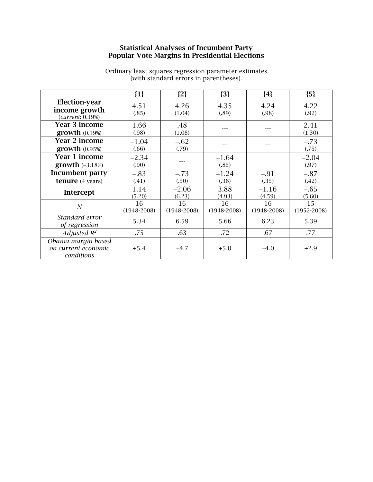## **Statistical Analyses of Incumbent Party Popular Vote Margins in Presidential Elections**

|                                                           | $\{1\}$               | ${2}$                 | ${3}$               | ${4}$                 | ${5}$                 |
|-----------------------------------------------------------|-----------------------|-----------------------|---------------------|-----------------------|-----------------------|
| <b>Election-year</b><br>income growth<br>(current: 0.19%) | 4.51<br>(.85)         | 4.26<br>(1.04)        | 4.35<br>(.89)       | 4.24<br>(.98)         | 4.22<br>(.92)         |
| <b>Year 3 income</b><br>growth (0.19%)                    | 1.66<br>(.98)         | .48<br>(1.08)         |                     |                       | 2.41<br>(1.30)        |
| <b>Year 2 income</b><br>growth (0.95%)                    | $-1.04$<br>(.66)      | $-.62$<br>(.79)       |                     |                       | $-.73$<br>(.75)       |
| <b>Year 1 income</b><br>growth $(-3.18%)$                 | $-2.34$<br>(.90)      | ---                   | $-1.64$<br>(.85)    |                       | $-2.04$<br>(.97)      |
| Incumbent party<br><b>tenure</b> (4 years)                | $-.83$<br>(.41)       | $-.73$<br>(.50)       | $-1.24$<br>(.36)    | $-.91$<br>(.35)       | $-.87$<br>(.42)       |
| Intercept                                                 | 1.14<br>(5.20)        | $-2.06$<br>(6.23)     | 3.88<br>(4.93)      | $-1.16$<br>(4.59)     | $-.65$<br>(5.60)      |
| N                                                         | 16<br>$(1948 - 2008)$ | 16<br>$(1948 - 2008)$ | 16<br>$(1948-2008)$ | 16<br>$(1948 - 2008)$ | 15<br>$(1952 - 2008)$ |
| Standard error<br>of regression                           | 5.34                  | 6.59                  | 5.66                | 6.23                  | 5.39                  |
| Adjusted $R^2$                                            | .75                   | .63                   | .72                 | .67                   | .77                   |
| Obama margin based<br>on current economic<br>conditions   | $+5.4$                | $-4.7$                | $+5.0$              | $-4.0$                | $+2.9$                |

Ordinary least squares regression parameter estimates (with standard errors in parentheses).